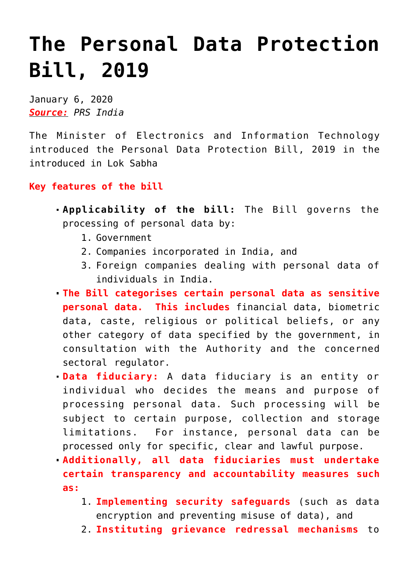## **[The Personal Data Protection](https://journalsofindia.com/the-personal-data-protection-bill-2019/) [Bill, 2019](https://journalsofindia.com/the-personal-data-protection-bill-2019/)**

January 6, 2020 *Source: PRS India*

The Minister of Electronics and Information Technology introduced the Personal Data Protection Bill, 2019 in the introduced in Lok Sabha

## **Key features of the bill**

- **Applicability of the bill:** The Bill governs the processing of personal data by:
	- 1. Government
	- 2. Companies incorporated in India, and
	- 3. Foreign companies dealing with personal data of individuals in India.
- **The Bill categorises certain personal data as sensitive personal data. This includes** financial data, biometric data, caste, religious or political beliefs, or any other category of data specified by the government, in consultation with the Authority and the concerned sectoral regulator.
- **Data fiduciary:** A data fiduciary is an entity or individual who decides the means and purpose of processing personal data. Such processing will be subject to certain purpose, collection and storage limitations. For instance, personal data can be processed only for specific, clear and lawful purpose.
- **Additionally, all data fiduciaries must undertake certain transparency and accountability measures such as:** 
	- 1. **Implementing security safeguards** (such as data encryption and preventing misuse of data), and
	- 2. **Instituting grievance redressal mechanisms** to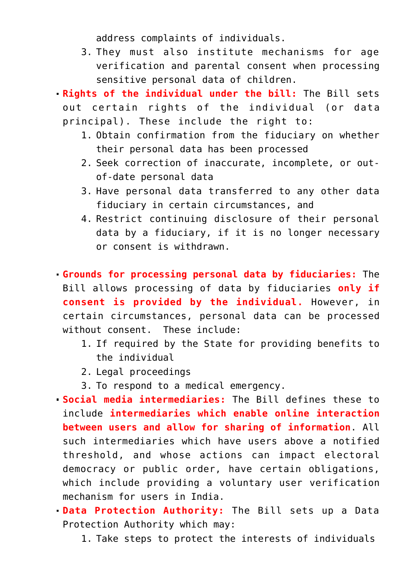address complaints of individuals.

3. They must also institute mechanisms for age verification and parental consent when processing sensitive personal data of children.

**Rights of the individual under the bill:** The Bill sets out certain rights of the individual (or data principal). These include the right to:

- 1. Obtain confirmation from the fiduciary on whether their personal data has been processed
- 2. Seek correction of inaccurate, incomplete, or outof-date personal data
- 3. Have personal data transferred to any other data fiduciary in certain circumstances, and
- 4. Restrict continuing disclosure of their personal data by a fiduciary, if it is no longer necessary or consent is withdrawn.

**Grounds for processing personal data by fiduciaries:** The Bill allows processing of data by fiduciaries **only if consent is provided by the individual.** However, in certain circumstances, personal data can be processed without consent. These include:

- 1. If required by the State for providing benefits to the individual
- 2. Legal proceedings
- 3. To respond to a medical emergency.

**Social media intermediaries:** The Bill defines these to include **intermediaries which enable online interaction between users and allow for sharing of information**. All such intermediaries which have users above a notified threshold, and whose actions can impact electoral democracy or public order, have certain obligations, which include providing a voluntary user verification mechanism for users in India.

- **Data Protection Authority:** The Bill sets up a Data Protection Authority which may:
	- 1. Take steps to protect the interests of individuals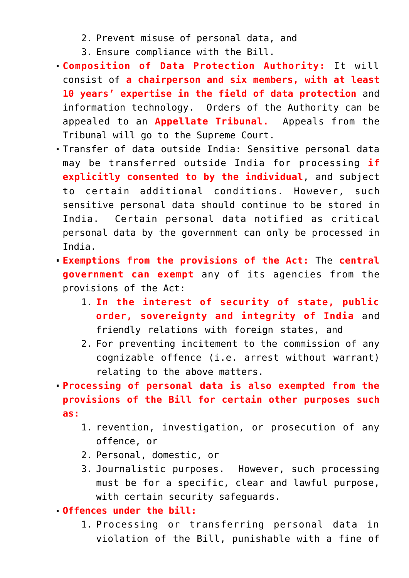- 2. Prevent misuse of personal data, and
- 3. Ensure compliance with the Bill.
- **Composition of Data Protection Authority:** It will consist of **a chairperson and six members, with at least 10 years' expertise in the field of data protection** and information technology. Orders of the Authority can be appealed to an **Appellate Tribunal.** Appeals from the Tribunal will go to the Supreme Court.
- Transfer of data outside India: Sensitive personal data may be transferred outside India for processing **if explicitly consented to by the individual**, and subject to certain additional conditions. However, such sensitive personal data should continue to be stored in India. Certain personal data notified as critical personal data by the government can only be processed in India.
- **Exemptions from the provisions of the Act:** The **central government can exempt** any of its agencies from the provisions of the Act:
	- 1. **In the interest of security of state, public order, sovereignty and integrity of India** and friendly relations with foreign states, and
	- 2. For preventing incitement to the commission of any cognizable offence (i.e. arrest without warrant) relating to the above matters.

**Processing of personal data is also exempted from the provisions of the Bill for certain other purposes such as:**

- 1. revention, investigation, or prosecution of any offence, or
- 2. Personal, domestic, or
- 3. Journalistic purposes. However, such processing must be for a specific, clear and lawful purpose, with certain security safeguards.
- **Offences under the bill:**
	- 1. Processing or transferring personal data in violation of the Bill, punishable with a fine of